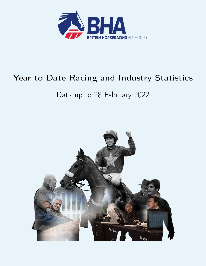

# Year to Date Racing and Industry Statistics

# Data up to 28 February 2022

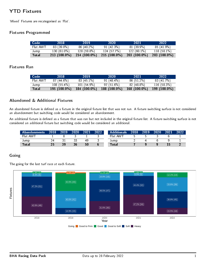# YTD Fixtures

`Mixed' Fixtures are recategorised as `Flat'.

#### Fixtures Programmed

| Code <sup>1</sup> | 2018         | 2019         | 2020           | 2021           | 2022           |
|-------------------|--------------|--------------|----------------|----------------|----------------|
| Flat AWT          | 83 (39.0%)   | 86 (40 2%)   | 91 (42.3%)     | $81(399\%)$    | $85(41.9\%)$   |
| Jump              | $130(610\%)$ | 128 (59.8%)  | 124(57.7%)     | $122(60.1\%)$  | $118(581\%)$   |
| <b>Total</b>      | 213 (100.0%) | 214 (100.0%) | $215(100.0\%)$ | $203(100.0\%)$ | $203(100.0\%)$ |

#### Fixtures Ran

| Code     | 2018          | 2019          | 2020           | 2021           | 2022           |
|----------|---------------|---------------|----------------|----------------|----------------|
| Flat AWT | 87(446%)      | $83(451\%)$   | $91(484\%)$    | 86 (51.2%)     | 83 (41 7%)     |
| Jump     | $108(55.4\%)$ | $101(54.9\%)$ | 97(516%)       | 82 (48.8%)     | 116(583%)      |
| Total    | 195 (100.0%)  | 184 (100.0%)  | $188(100.0\%)$ | $168(100.0\%)$ | $199(100.0\%)$ |

#### Abandoned & Additional Fixtures

An abandoned fixture is defined as a fixture in the original fixture list that was not run. A fixture switching surface is not considered an abandonment but switching code would be considered an abandonment.

An additional fixture is defined as a fixture that was ran but not included in the original fixture list. A fixture switching surface is not considered an additional fixture but switching code would be considered an additional.

| Abandonments 2018 |    | 2019 | 2020 | 2021 | 2022 | <b>Additionals A</b> | 2018 | 2019 | 2020 | 2021 | 2022 |
|-------------------|----|------|------|------|------|----------------------|------|------|------|------|------|
| Flat AWT          |    |      |      |      |      | Flat AWT             |      |      |      |      |      |
| Jump              |    |      |      | 49   |      | Jump                 |      |      |      |      |      |
| <b>Total</b>      | 25 | 39   | 36   | 50   |      | Total                |      |      |      |      |      |

#### Going

The going for the last turf race at each fixture.

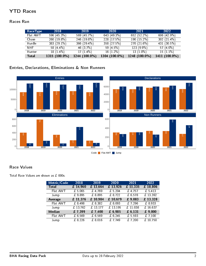# YTD Races

#### Races Ran

| RaceType     | 2018          | 2019          | 2020          | 2021          | 2022           |
|--------------|---------------|---------------|---------------|---------------|----------------|
| Flat AWT     | 596 (45.3%)   | 569 (45.7%)   | 643 (49.3%)   | 652 (52.2%)   | 606 (42.9%)    |
| Chase        | 260 (19.8%)   | $246(198\%)$  | 228 (17.5%)   | $190(15.2\%)$ | 302 $(21.4\%)$ |
| Hurdle       | 383 (29.1%)   | 366 (29.4%)   | 358 (27.5%)   | 270 (21 6%)   | 431 (30.5%)    |
| <b>NHF</b>   | 58 (4.4%)     | 46 (3.7%)     | 59(4.5%)      | 123 (9.9%)    | 57 $(4.0\%)$   |
| Hunter       | $18(1.4\%)$   | $17(1.4\%)$   | $16(1.2\%)$   | $13(1.0\%)$   | $15(1.1\%)$    |
| <b>Total</b> | 1315 (100.0%) | 1244 (100.0%) | 1304 (100.0%) | 1248 (100.0%) | 1411 (100.0%)  |

### Entries, Declarations, Eliminations & Non Runners



#### Race Values

Total Race Values are shown as  $£$  000s.

| Metric/Code  | 2018       | 2019     | 2020      | 2021     | 2022            |
|--------------|------------|----------|-----------|----------|-----------------|
| <b>Total</b> | £ 14,960   | £ 13,664 | £ 13,926  | £ 11,335 | £ 18,806        |
| Flat AWT     | £5,065     | £ 4,769  | £ 5,204   | £ 4,757  | £5413           |
| Jump         | £9,895     | £ 8,895  | £ $8,722$ | £ 6,578  | £ 13,392        |
| Average      | £ 11,376   | £ 10,984 | £ 10,679  | £ 9,083  | £ 13,328        |
| Flat AWT     | £ 8,498    | £ 8,382  | £ 8,093   | £7.296   | $\sqrt{28,933}$ |
| Jump         | £ $13,762$ | £ 13,177 | £13,195   | £11,038  | £16,637         |
| Median       | £7,399     | £7,400   | £ 6,985   | £ 6, 131 | 0.000           |
| Flat AWT     | £ 6,569    | £ 6.569  | £ $6,245$ | £ 5,593  | £ $7,100$       |
| Jump         | £ 8,226    | £ 8,016  | £7749     | £7200    | £10,750         |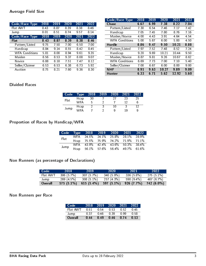#### Average Field Size

| Code/Race Type        | 2018 | 2019 | 2020  | 2021 | 2022 |
|-----------------------|------|------|-------|------|------|
| Flat AWT              | 8.43 | 887  | 8.39  | 8.38 | 8.46 |
| Jump                  | 8.01 | 851  | 8.74  | 9.57 | 8.14 |
| Code/Race Type        | 2018 | 2019 | 2020  | 2021 | 2022 |
| Flat                  | 8.43 | 8.87 | 8 3 9 | 8.38 | 8.46 |
| Pattern/Listed        | 9.75 | 7.50 | 7 00  | 6.50 | 700  |
| Handicap              | 8.84 | 9.14 | 8.55  | 8.42 | 8.45 |
| <b>WFA Conditions</b> | 5.81 | 8.00 | 8.94  | 9.61 | 9.35 |
| Maiden                | 8.56 | 853  | 9 3 7 | 8.08 | 9.07 |
| <b>Novice</b>         | 6.88 | 8.18 | 7.51  | 747  | 8.12 |
| Seller/Claimer        | 6.53 | 6.53 | 6.38  | 6.73 | 5.92 |
| Auction               | 8.75 | 8.21 | 7 60  | 9 36 | 8.30 |

| Code/Race Type        | 2018 | 2019  | 2020  | 2021  | 2022 |
|-----------------------|------|-------|-------|-------|------|
| <b>Chase</b>          | 6.67 | 6.99  | 7.38  | 8.22  | 7 04 |
| Pattern/Listed        | 7.30 | 6.54  | 7.46  | 7.17  | 742  |
| Handicap              | 7.05 | 745   | 7.80  | 8.76  | 716  |
| Maiden/Novice         | 4.00 | 4 4 3 | 3.91  | 4.64  | 454  |
| <b>WFA Conditions</b> | 5 00 | 5.67  | 6.00  | 5 00  | 450  |
| <b>Hurdle</b>         | 8.86 | 9.47  | 9.50  | 10 21 | 8.88 |
| Pattern/Listed        | 7.97 | 7.52  | 7.48  | 8.52  | 7.24 |
| Handicap              | 9.20 | 9.69  | 10 21 | 10.44 | 950  |
| Maiden/Novice         | 887  | 981   | 9.26  | 10.67 | 8.62 |
| <b>WFA Conditions</b> | 6.69 | 7.73  | 7.00  | 7 1 0 | 5.40 |
| Seller/Claimer        | 7.00 | 6.67  | 6.00  | 8.00  | 9.00 |
| <b>NHF</b>            | 891  | 9.63  | 10.27 | 9.89  | 9.09 |
| <b>Hunter</b>         | 6.33 | 6.71  | 5.62  | 12.92 | 5.60 |

# Divided Races

| Code | $T$ vpe $^{\dagger}$ | 2018 | 2019 | 2020 | 2021 | 2022 |
|------|----------------------|------|------|------|------|------|
| Flat | Hcap                 | 30   |      | 27   | 23   | 25   |
|      | WFA                  | 5    |      |      | 12   | b    |
|      | Hcap                 |      | ર    | 10   |      |      |
| Jump | <b>WFA</b>           |      |      | Q    | 19   | Q    |

# Proportion of Races by Handicap/WFA

|       |  | Code Type 2018 2019 2020 2021 2022 |  |
|-------|--|------------------------------------|--|
| Flat. |  | WFA 24.5% 24.1% 25.8% 28.1% 28.9%  |  |
|       |  | Hcap 75.5% 75.9% 74.2% 71.9% 71.1% |  |
|       |  | WFA 43.9% 42.4% 43.6% 50.3% 38.4%  |  |
| Jump  |  | Hcap 56.1% 57.6% 56.4% 49.7% 61.6% |  |

# Non Runners (as percentage of Declarations)

| Code     | 2018       | 2019         | 2020          | -2021        | 2022         |
|----------|------------|--------------|---------------|--------------|--------------|
| Flat AWT | 306(57%)   | 307(57%)     | 340 $(5.9\%)$ | $336(5.8\%)$ | $275(5.1\%)$ |
| Jump     | 269(45%)   | $308(51\%)$  | 257(43%)      | $590(9.4\%)$ | 467 (6.7%)   |
| Overall  | 575 (5.1%) | $615(5.4\%)$ | 597 (5.1%)    | 926(7.7%)    | 742 (6.0%)   |

# Non Runners per Race

| Code     | 2018 | 2019 | $-2020$ | 2021 | 2022   |
|----------|------|------|---------|------|--------|
| Flat AWT | 0.51 | O 54 | 0.53    | O 52 | O 45   |
| Jump     | 0.37 | በ 46 | 0.39    | N 99 | . 0.58 |
| Overall  | በ 44 | O 49 | 0.46    | 0.74 | 0.53   |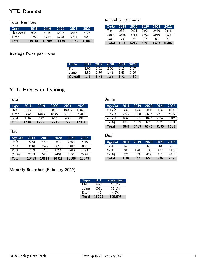# YTD Runners

#### Total Runners

| Code     | 2018  | 2019  | 2020  | 2021  | 2022  |
|----------|-------|-------|-------|-------|-------|
| Flat AWT | 5022  | 5045  | 5392  | 5465  | 5125  |
| Jump     | 5759  | 5744  | 5778  | 5704  | 6555  |
| Total    | 10781 | 10789 | 11170 | 11169 | 11680 |

#### Individual Runners

| Code  | 2018 | 2019 | 2020 | 2021 | 2022 |
|-------|------|------|------|------|------|
| Flati | 2361 | 2421 | 2501 | 2460 | 2411 |
| Jump  | 3585 | 3765 | 3799 | 3910 | 4028 |
| Dual  | 74   | 76   | 97   | 83   | 67   |
| Total | 6020 | 6262 | 6397 | 6453 | 6506 |

# Average Runs per Horse

| Code    | 2018 | 2019 | $-2020$ | 2021 | 2022        |
|---------|------|------|---------|------|-------------|
| Flati   | 2.06 | 2.02 | 2 Q8    | 2.15 | ን በ7        |
| Jump    | 157  | 1.50 | 148     | 143  | 1 60        |
| Overall | 1.79 | 1.72 | 1.75    | 1.73 | <b>1.80</b> |

Jump

# YTD Horses in Training

Total

| <b>Type</b> | 2018  | 2019  | 2020  | 2021  | 2022  |
|-------------|-------|-------|-------|-------|-------|
| Flati       | 10433 | 10511 | 10517 | 10005 | 10073 |
| Jump        | 5846  | 6463  | 6545  | 7155  | 6508  |
| Dual        | 1109  | 577   | 653   | 636   | 737   |
| Total       | 17388 | 17551 | 17715 | 17796 | 17318 |

#### Flat

| AgeCat <sup>1</sup> | 2018  | 2019  | 2020  | 2021  | 2022  |
|---------------------|-------|-------|-------|-------|-------|
| 2Y <sub>O</sub>     | 2763  | 2758  | 2679  | 2464  | 2545  |
| 3Y O                | 3618  | 3527  | 3653  | 3407  | 3431  |
| 4Y O                | 1689  | 1788  | 1754  | 1783  | 1823  |
| $5Y0+$              | 2363  | 2438  | 2431  | 2351  | 2274  |
| Total               | 10433 | 10511 | 10517 | 10005 | 10073 |

# 7-8YO 1649 1822 1872 2157 1912 9YO+ 1343 1393 1406 1670 1463<br>Total 5846 6463 6545 7155 6508  $\overline{\text{Total}}$ Dual

AgeCat 2018 2019 2020 2021 2022 3-4YO 582 698 654 618 608 5-6YO 2272 2550 2613 2710 2525

| AgeCat          | 2018 | 2019 | 2020 | 2021 | 2022 |
|-----------------|------|------|------|------|------|
| 3Y <sub>0</sub> | 57   | 30   | 61   | 48   | 78   |
| 4YO             | 281  | 178  | 180  | 177  | 216  |
| $5Y0+$          | 771  | 369  | 412  | 411  | 443  |
| Total           | 1109 | 577  | 653  | 636  | 737  |

# Monthly Snapshot (February 2022)

| <b>Type</b>  | HIT   | <b>Proportion</b> |
|--------------|-------|-------------------|
| Flat         | 9498  | 583%              |
| Jump         | 6051  | $371\%$           |
| Dual         | 746   | 4.6%              |
| <b>Total</b> | 16295 | 100.0%            |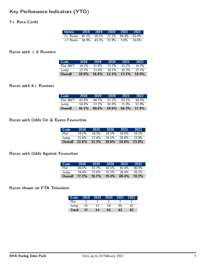# Key Perfomance Indicators (YTD)

#### 7+ Race Cards

| Metric 2018 2019 2020 2021 2022                                              |  |  |       |
|------------------------------------------------------------------------------|--|--|-------|
| 7+ Races 65.1% 56.5% 77.1% 96.4% 83.4%                                       |  |  |       |
| $\langle 7 \text{ Races} \quad 34.9\% \quad 43.5\% \quad 22.9\% \quad 3.6\%$ |  |  | 16.6% |

#### Races with  $< 6$  Runners

| Code     | 2018    | 2019     | 2020     | 2021     | 2022  |
|----------|---------|----------|----------|----------|-------|
| Flat AWT | 141%    | $11.8\%$ | 13.7%    | $15.2\%$ | 14 7% |
| Jump     | $227\%$ | 21.0%    | $16.5\%$ | 10.7%    | 221%  |
| Overall  | 18.8%   | $16.8\%$ | 15.1%    | $13.1\%$ | 18.9% |

# Races with  $8+$  Runners

| Code'    | 2018  | 2019     | 2020  | 2021     | 2022  |
|----------|-------|----------|-------|----------|-------|
| Flat AWT | 62.6% | 64 7%    | 571%  | 62 1 $%$ | 64.5% |
| Jump     | 50.8% | 572%     | 62 በ% | 71.0%    | 52.9% |
| Overall  | 56.1% | $60.6\%$ | 59.6% | 66.3%    | 57.9% |

#### Races with Odds On & Evens Favourites

| <b>Code</b> | 2018     | 2019  | 2020     | 2021     | 2022  |
|-------------|----------|-------|----------|----------|-------|
| Flat:       | 19.5%    | 18.3% | 16.5%    | $18.6\%$ | 191%  |
| Jump        | 25.6%    | 27.4% | 24.5%    | 20.6%    | 23.9% |
| Overall     | $22.8\%$ | 23.3% | $20.6\%$ | $19.6\%$ | 21.8% |

#### Races with Odds Against Favourites

| Code           | 2018     | 2019     | 2020     | 2021     | 2022  |
|----------------|----------|----------|----------|----------|-------|
| Flat:          | $80.5\%$ | $81,7\%$ | 83.5%    | $81.4\%$ | 80.9% |
| Jump           | 74.4%    | 72.6%    | $75.5\%$ | 79.4%    | 76.1% |
| <b>Overall</b> | 77.2%    | 76.7%    | 79.4%    | 80.4%    | 78.2% |

#### Races shown on FTA Television

| Code         | 2018 | 2019 | 2020 | 2021 | 2022 |
|--------------|------|------|------|------|------|
| Flat         |      |      |      |      |      |
| Jump         | 55   | 52   | 59   | 60   | 81   |
| <b>Total</b> | 57   | 54   | հ1   | 62   | 83   |